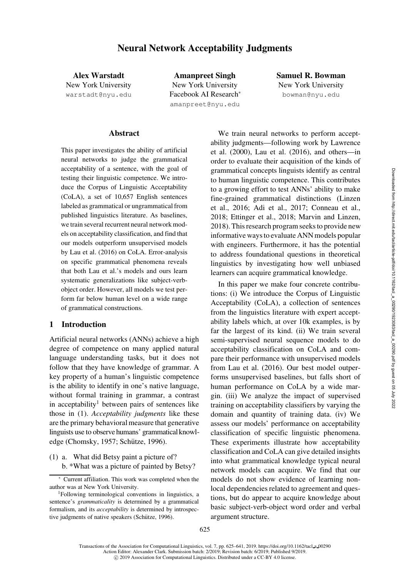Alex Warstadt New York University warstadt@nyu.edu

Amanpreet Singh New York University Facebook AI Research<sup>∗</sup> amanpreet@nyu.edu

Samuel R. Bowman New York University bowman@nyu.edu

### Abstract

This paper investigates the ability of artificial neural networks to judge the grammatical acceptability of a sentence, with the goal of testing their linguistic competence. We introduce the Corpus of Linguistic Acceptability (CoLA), a set of 10,657 English sentences labeled as grammatical or ungrammatical from published linguistics literature. As baselines, we train several recurrent neural network models on acceptability classification, and find that our models outperform unsupervised models by Lau et al. (2016) on CoLA. Error-analysis on specific grammatical phenomena reveals that both Lau et al.'s models and ours learn systematic generalizations like subject-verbobject order. However, all models we test perform far below human level on a wide range of grammatical constructions.

## 1 Introduction

Artificial neural networks (ANNs) achieve a high degree of competence on many applied natural language understanding tasks, but it does not follow that they have knowledge of grammar. A key property of a human's linguistic competence is the ability to identify in one's native language, without formal training in grammar, a contrast in acceptability<sup>[1](#page-0-0)</sup> between pairs of sentences like those in [\(1\).](#page-0-1) *Acceptability judgments* like these are the primary behavioral measure that generative linguists use to observe humans' grammatical knowl-edge [\(Chomsky](#page-14-0), [1957;](#page-14-0) Schütze, 1996).

<span id="page-0-1"></span>(1) a. What did Betsy paint a picture of? b. \*What was a picture of painted by Betsy?

We train neural networks to perform acceptabilit[y judgments—following work by](#page-15-1) Lawrence et al. [\(2000](#page-15-1)), [Lau et al.](#page-15-2) [\(2016\)](#page-15-2), and others—in order to evaluate their acquisition of the kinds of grammatical concepts linguists identify as central to human linguistic competence. This contributes to a growing effort to test ANNs' ability to make fine-[grained grammatical distinctions \(](#page-15-3)Linzen et al., [2016](#page-15-3); [Adi et al., 2017;](#page-13-0) [Conneau et al.,](#page-14-1) [2018](#page-14-1); [Ettinger et al.](#page-14-2), [2018](#page-14-2); [Marvin and Linzen,](#page-15-4) [2018](#page-15-4)). This research program seeks to provide new informative ways to evaluate ANN models popular with engineers. Furthermore, it has the potential to address foundational questions in theoretical linguistics by investigating how well unbiased learners can acquire grammatical knowledge.

In this paper we make four concrete contributions: (i) We introduce the Corpus of Linguistic Acceptability (CoLA), a collection of sentences from the linguistics literature with expert acceptability labels which, at over 10k examples, is by far the largest of its kind. (ii) We train several semi-supervised neural sequence models to do acceptability classification on CoLA and compare their performance with unsupervised models from [Lau et al.](#page-15-2) [\(2016\)](#page-15-2). Our best model outperforms unsupervised baselines, but falls short of human performance on CoLA by a wide margin. (iii) We analyze the impact of supervised training on acceptability classifiers by varying the domain and quantity of training data. (iv) We assess our models' performance on acceptability classification of specific linguistic phenomena. These experiments illustrate how acceptability classification and CoLA can give detailed insights into what grammatical knowledge typical neural network models can acquire. We find that our models do not show evidence of learning nonlocal dependencies related to agreement and questions, but do appear to acquire knowledge about basic subject-verb-object word order and verbal argument structure.

<sup>∗</sup> Current affiliation. This work was completed when the author was at New York University.

<span id="page-0-0"></span><sup>1</sup>Following terminological conventions in linguistics, a sentence's *grammaticality* is determined by a grammatical formalism, and its *acceptability* is determined by introspec-tive judgments of native speakers (Schütze, [1996\)](#page-15-0).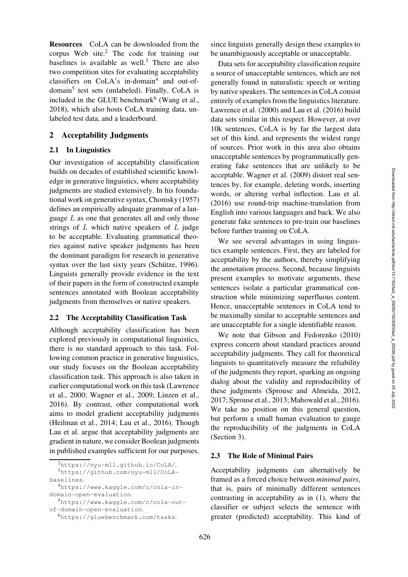<span id="page-1-5"></span>Resources CoLA can be downloaded from the corpus Web site.[2](#page-1-0) The code for training our baselines is available as well.<sup>[3](#page-1-1)</sup> There are also two competition sites for evaluating acceptability classifiers on CoLA's in-domain<sup>[4](#page-1-2)</sup> and out-of- $domain<sup>5</sup>$  $domain<sup>5</sup>$  $domain<sup>5</sup>$  test sets (unlabeled). Finally, CoLA is included in the GLUE benchmark $<sup>6</sup>$  $<sup>6</sup>$  $<sup>6</sup>$  [\(Wang et al.,](#page-16-0)</sup> [2018](#page-16-0)), which also hosts CoLA training data, unlabeled test data, and a leaderboard.

#### 2 Acceptability Judgments

#### 2.1 In Linguistics

Our investigation of acceptability classification builds on decades of established scientific knowledge in generative linguistics, where acceptability judgments are studied extensively. In his foundational work on generative syntax, [Chomsky](#page-14-0) [\(1957](#page-14-0)) defines an empirically adequate grammar of a language *L* as one that generates all and only those strings of *L* which native speakers of *L* judge to be acceptable. Evaluating grammatical theories against native speaker judgments has been the dominant paradigm for research in generative syntax over the last sixty years (Schütze, [1996\)](#page-15-0). Linguists generally provide evidence in the text of their papers in the form of constructed example sentences annotated with Boolean acceptability judgments from themselves or native speakers.

#### 2.2 The Acceptability Classification Task

Although acceptability classification has been explored previously in computational linguistics, there is no standard approach to this task. Following common practice in generative linguistics, our study focuses on the Boolean acceptability classification task. This approach is also taken in earli[er computational work on this task \(](#page-15-1)Lawrence et al., [2000](#page-15-1); [Wagner et al.](#page-16-1), [2009](#page-16-1); [Linzen et al.,](#page-15-3) [2016](#page-15-3)). By contrast, other computational work aims to model gradient acceptability judgments [\(Heilman et al.](#page-14-3), [2014](#page-14-3); [Lau et al., 2016](#page-15-2)). Though [Lau et al.](#page-15-2) argue that acceptability judgments are gradient in nature, we consider Boolean judgments in published examples sufficient for our purposes, since linguists generally design these examples to be unambiguously acceptable or unacceptable.

<span id="page-1-6"></span>Data sets for acceptability classification require a source of unacceptable sentences, which are not generally found in naturalistic speech or writing by native speakers. The sentences in CoLA consist entirely of examples from the linguistics literature. [Lawrence et al.](#page-15-1) [\(2000\)](#page-15-1) and [Lau et al.](#page-15-2) [\(2016\)](#page-15-2) build data sets similar in this respect. However, at over 10k sentences, CoLA is by far the largest data set of this kind, and represents the widest range of sources. Prior work in this area also obtains unacceptable sentences by programmatically generating fake sentences that are unlikely to be acceptable. [Wagner et al.](#page-16-1) [\(2009](#page-16-1)) distort real sentences by, for example, deleting words, inserting words, or altering verbal inflection. [Lau et al.](#page-15-2) [\(2016](#page-15-2)) use round-trip machine-translation from English into various languages and back. We also generate fake sentences to pre-train our baselines before further training on CoLA.

We see several advantages in using linguistics example sentences. First, they are labeled for acceptability by the authors, thereby simplifying the annotation process. Second, because linguists present examples to motivate arguments, these sentences isolate a particular grammatical construction while minimizing superfluous content. Hence, unacceptable sentences in CoLA tend to be maximally similar to acceptable sentences and are unacceptable for a single identifiable reason.

We note that [Gibson and Fedorenko](#page-14-4) [\(2010\)](#page-14-4) express concern about standard practices around acceptability judgments. They call for theoretical linguists to quantitatively measure the reliability of the judgments they report, sparking an ongoing dialog about the validity and reproducibility of these judgments [\(Sprouse and Almeida](#page-16-2), [2012,](#page-16-2) [2017](#page-16-3); [Sprouse et al.](#page-16-4), [2013;](#page-16-4) [Mahowald et al., 2016](#page-15-5)). We take no position on this general question, but perform a small human evaluation to gauge the reproducibility of the judgments in CoLA (Section [3\)](#page-2-0).

#### <span id="page-1-7"></span>2.3 The Role of Minimal Pairs

Acceptability judgments can alternatively be framed as a forced choice between *minimal pairs*, that is, pairs of minimally different sentences contrasting in acceptability as in [\(1\),](#page-0-1) where the classifier or subject selects the sentence with greater (predicted) acceptability. This kind of

<span id="page-1-0"></span><sup>2</sup><https://nyu-mll.github.io/CoLA/>.

<sup>3</sup>[https://github.com/nyu-mll/CoLA](https://github.com/nyu-mll/CoLA-baselines)[baselines](https://github.com/nyu-mll/CoLA-baselines).

<span id="page-1-2"></span><span id="page-1-1"></span><sup>4</sup>[https://www.kaggle.com/c/cola-in](https://www.kaggle.com/c/cola-in-domain-open-evaluation)[domain-open-evaluation](https://www.kaggle.com/c/cola-in-domain-open-evaluation).

<sup>5</sup>[https://www.kaggle.com/c/cola-out](https://www.kaggle.com/c/cola-out-of-domain-open-evaluation)[of-domain-open-evaluation](https://www.kaggle.com/c/cola-out-of-domain-open-evaluation).

<span id="page-1-4"></span><span id="page-1-3"></span><sup>6</sup><https://gluebenchmark.com/tasks>.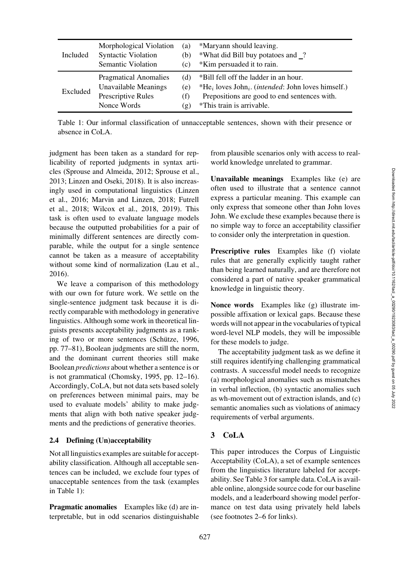<span id="page-2-1"></span>

| Included | Morphological Violation      | (a)              | *Maryann should leaving.                                                            |
|----------|------------------------------|------------------|-------------------------------------------------------------------------------------|
|          | <b>Syntactic Violation</b>   | (b)              | *What did Bill buy potatoes and ?                                                   |
|          | Semantic Violation           | (c)              | *Kim persuaded it to rain.                                                          |
| Excluded | <b>Pragmatical Anomalies</b> | (d)              | *Bill fell off the ladder in an hour.                                               |
|          | Unavailable Meanings         | (e)              | *He <sub>i</sub> loves John <sub>i</sub> . ( <i>intended</i> : John loves himself.) |
|          | Prescriptive Rules           | (f)              | Prepositions are good to end sentences with.                                        |
|          | Nonce Words                  | $(\mathfrak{g})$ | *This train is arrivable.                                                           |

Table 1: Our informal classification of unnacceptable sentences, shown with their presence or absence in CoLA.

judgment has been taken as a standard for replicability of reported judgments in syntax articles [\(Sprouse and Almeida, 2012](#page-16-2); [Sprouse et al.,](#page-16-4) [2013](#page-16-4); [Linzen and Oseki](#page-15-6), [2018\)](#page-15-6). It is also increasingly [used in computational linguistics \(](#page-15-3)Linzen et al.[,](#page-14-5) [2016](#page-15-3)[;](#page-14-5) [Marvin and Linzen](#page-15-4)[,](#page-14-5) [2018](#page-15-4)[;](#page-14-5) Futrell et al., [2018;](#page-14-5) [Wilcox et al., 2018](#page-16-5), [2019\)](#page-16-6). This task is often used to evaluate language models because the outputted probabilities for a pair of minimally different sentences are directly comparable, while the output for a single sentence cannot be taken as a measure of acceptability without some kind of normalization [\(Lau et al.,](#page-15-2) [2016](#page-15-2)).

We leave a comparison of this methodology with our own for future work. We settle on the single-sentence judgment task because it is directly comparable with methodology in generative linguistics. Although some work in theoretical linguists presents acceptability judgments as a rank-ing of two or more sentences (Schütze, [1996,](#page-15-0) pp. 77–81), Boolean judgments are still the norm, and the dominant current theories still make Boolean *predictions* about whether a sentence is or is not grammatical [\(Chomsky, 1995,](#page-14-6) pp. 12–16). Accordingly, CoLA, but not data sets based solely on preferences between minimal pairs, may be used to evaluate models' ability to make judgments that align with both native speaker judgments and the predictions of generative theories.

#### <span id="page-2-2"></span>2.4 Defining (Un)acceptability

Not all linguistics examples are suitable for acceptability classification. Although all acceptable sentences can be included, we exclude four types of unacceptable sentences from the task (examples in [Table 1\)](#page-2-1):

Pragmatic anomalies Examples like (d) are interpretable, but in odd scenarios distinguishable from plausible scenarios only with access to realworld knowledge unrelated to grammar.

Unavailable meanings Examples like (e) are often used to illustrate that a sentence cannot express a particular meaning. This example can only express that someone other than John loves John. We exclude these examples because there is no simple way to force an acceptability classifier to consider only the interpretation in question.

Prescriptive rules Examples like (f) violate rules that are generally explicitly taught rather than being learned naturally, and are therefore not considered a part of native speaker grammatical knowledge in linguistic theory.

Nonce words Examples like (g) illustrate impossible affixation or lexical gaps. Because these words will not appear in the vocabularies of typical word-level NLP models, they will be impossible for these models to judge.

The acceptability judgment task as we define it still requires identifying challenging grammatical contrasts. A successful model needs to recognize (a) morphological anomalies such as mismatches in verbal inflection, (b) syntactic anomalies such as wh-movement out of extraction islands, and (c) semantic anomalies such as violations of animacy requirements of verbal arguments.

# <span id="page-2-0"></span>3 CoLA

This paper introduces the Corpus of Linguistic Acceptability (CoLA), a set of example sentences from the linguistics literature labeled for acceptability. See [Table 3](#page-4-0) for sample data. CoLA is available online, alongside source code for our baseline models, and a leaderboard showing model performance on test data using privately held labels (see footnotes [2](#page-1-5)[–6](#page-1-6) for links).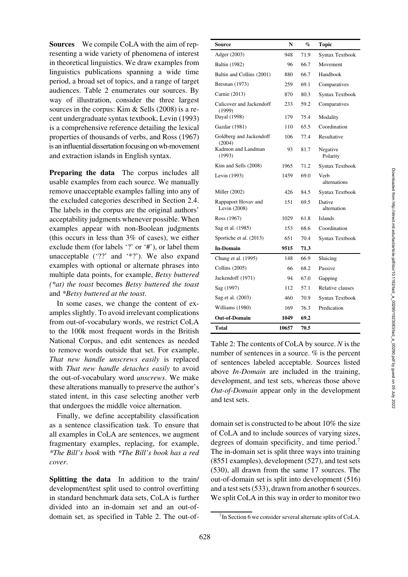Sources We compile CoLA with the aim of representing a wide variety of phenomena of interest in theoretical linguistics. We draw examples from linguistics publications spanning a wide time period, a broad set of topics, and a range of target audiences. [Table 2](#page-3-0) enumerates our sources. By way of illustration, consider the three largest sources in the corpus: Kim & Sells [\(2008](#page-14-7)) is a recent undergraduate syntax textbook, Levin [\(1993\)](#page-15-7) is a comprehensive reference detailing the lexical properties of thousands of verbs, and Ross [\(1967\)](#page-15-8) is an influential dissertation focusing on wh-movement and extraction islands in English syntax.

Preparing the data The corpus includes all usable examples from each source. We manually remove unacceptable examples falling into any of the excluded categories described in Section [2.4.](#page-2-2) The labels in the corpus are the original authors' acceptability judgments whenever possible. When examples appear with non-Boolean judgments (this occurs in less than 3% of cases), we either exclude them (for labels '?' or '#'), or label them unacceptable ('??' and '\*?'). We also expand examples with optional or alternate phrases into multiple data points, for example, *Betsy buttered (\*at) the toast* becomes *Betsy buttered the toast* and *\*Betsy buttered at the toast*.

In some cases, we change the content of examples slightly. To avoid irrelevant complications from out-of-vocabulary words, we restrict CoLA to the 100k most frequent words in the British National Corpus, and edit sentences as needed to remove words outside that set. For example, *That new handle unscrews easily* is replaced with *That new handle detaches easily* to avoid the out-of-vocabulary word *unscrews*. We make these alterations manually to preserve the author's stated intent, in this case selecting another verb that undergoes the middle voice alternation.

Finally, we define acceptability classification as a sentence classification task. To ensure that all examples in CoLA are sentences, we augment fragmentary examples, replacing, for example, *\*The Bill's book* with *\*The Bill's book has a red cover*.

Splitting the data In addition to the train/ development/test split used to control overfitting in standard benchmark data sets, CoLA is further divided into an in-domain set and an out-ofdomain set, as specified in [Table 2.](#page-3-0) The out-of-

<span id="page-3-0"></span>

| Source                              | N     | %    | <b>Topic</b>          |
|-------------------------------------|-------|------|-----------------------|
| Adger (2003)                        | 948   | 71.9 | Syntax Textbook       |
| <b>Baltin</b> (1982)                | 96    | 66.7 | Movement              |
| Baltin and Collins (2001)           | 880   | 66.7 | Handbook              |
| Bresnan (1973)                      | 259   | 69.1 | Comparatives          |
| Carnie (2013)                       | 870   | 80.3 | Syntax Textbook       |
| Culicover and Jackendoff<br>(1999)  | 233   | 59.2 | Comparatives          |
| Dayal (1998)                        | 179   | 75.4 | Modality              |
| Gazdar (1981)                       | 110   | 65.5 | Coordination          |
| Goldberg and Jackendoff<br>(2004)   | 106   | 77.4 | Resultative           |
| Kadmon and Landman<br>(1993)        | 93    | 81.7 | Negative<br>Polarity  |
| Kim and Sells (2008)                | 1965  | 71.2 | Syntax Textbook       |
| Levin (1993)                        | 1459  | 69.0 | Verb<br>alternations  |
| Miller (2002)                       | 426   | 84.5 | Syntax Textbook       |
| Rappaport Hovav and<br>Levin (2008) | 151   | 69.5 | Dative<br>alternation |
| Ross (1967)                         | 1029  | 61.8 | <b>Islands</b>        |
| Sag et al. (1985)                   | 153   | 68.6 | Coordination          |
| Sportiche et al. (2013)             | 651   | 70.4 | Syntax Textbook       |
| <b>In-Domain</b>                    | 9515  | 71.3 |                       |
| Chung et al. (1995)                 | 148   | 66.9 | Sluicing              |
| Collins (2005)                      | 66    | 68.2 | Passive               |
| Jackendoff (1971)                   | 94    | 67.0 | Gapping               |
| Sag (1997)                          | 112   | 57.1 | Relative clauses      |
| Sag et al. (2003)                   | 460   | 70.9 | Syntax Textbook       |
| Williams (1980)                     | 169   | 76.3 | Predication           |
| Out-of-Domain                       | 1049  | 69.2 |                       |
| Total                               | 10657 | 70.5 |                       |

Table 2: The contents of CoLA by source. *N* is the number of sentences in a source. *%* is the percent of sentences labeled acceptable. Sources listed above *In-Domain* are included in the training, development, and test sets, whereas those above *Out-of-Domain* appear only in the development and test sets.

domain set is constructed to be about 10% the size of CoLA and to include sources of varying sizes, degrees of domain specificity, and time period.<sup>[7](#page-3-1)</sup> The in-domain set is split three ways into training (8551 examples), development (527), and test sets (530), all drawn from the same 17 sources. The out-of-domain set is split into development (516) and a test sets (533), drawn from another 6 sources. We split CoLA in this way in order to monitor two

<span id="page-3-1"></span> $7$ In Section [6](#page-8-0) we consider several alternate splits of CoLA.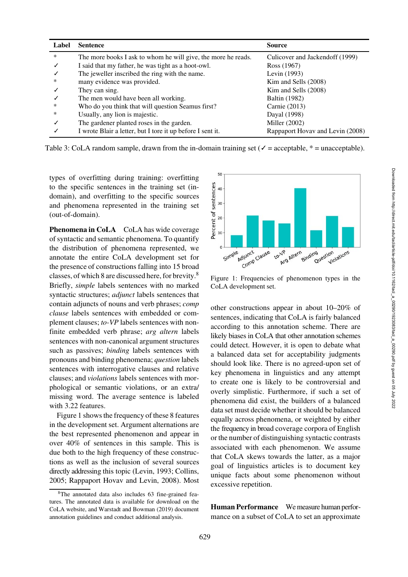<span id="page-4-0"></span>

| Label  | <b>Sentence</b>                                               | <b>Source</b>                    |
|--------|---------------------------------------------------------------|----------------------------------|
| $\ast$ | The more books I ask to whom he will give, the more he reads. | Culicover and Jackendoff (1999)  |
|        | I said that my father, he was tight as a hoot-owl.            | Ross (1967)                      |
|        | The jeweller inscribed the ring with the name.                | Levin (1993)                     |
| *      | many evidence was provided.                                   | Kim and Sells (2008)             |
|        | They can sing.                                                | Kim and Sells (2008)             |
|        | The men would have been all working.                          | <b>Baltin</b> (1982)             |
| ∗      | Who do you think that will question Seamus first?             | Carnie (2013)                    |
| *      | Usually, any lion is majestic.                                | Dayal (1998)                     |
|        | The gardener planted roses in the garden.                     | Miller (2002)                    |
|        | I wrote Blair a letter, but I tore it up before I sent it.    | Rappaport Hovav and Levin (2008) |

Table 3: CoLA random sample, drawn from the in-domain training set ( $\checkmark$  = acceptable, \* = unacceptable).

types of overfitting during training: overfitting to the specific sentences in the training set (indomain), and overfitting to the specific sources and phenomena represented in the training set (out-of-domain).

Phenomena in CoLA CoLA has wide coverage of syntactic and semantic phenomena. To quantify the distribution of phenomena represented, we annotate the entire CoLA development set for the presence of constructions falling into 15 broad classes, of which 8 are discussed here, for brevity.[8](#page-4-1) Briefly, *simple* labels sentences with no marked syntactic structures; *adjunct* labels sentences that contain adjuncts of nouns and verb phrases; *comp clause* labels sentences with embedded or complement clauses; *to-VP* labels sentences with nonfinite embedded verb phrase; *arg altern* labels sentences with non-canonical argument structures such as passives; *binding* labels sentences with pronouns and binding phenomena; *question* labels sentences with interrogative clauses and relative clauses; and *violations* labels sentences with morphological or semantic violations, or an extra/ missing word. The average sentence is labeled with 3.22 features.

[Figure 1](#page-4-2) shows the frequency of these 8 features in the development set. Argument alternations are the best represented phenomenon and appear in over 40% of sentences in this sample. This is due both to the high frequency of these constructions as well as the inclusion of several sources directly addressing this topic [\(Levin, 1993;](#page-15-7) [Collins](#page-14-16), [2005](#page-14-16); [Rappaport Hovav and Levin](#page-15-10), [2008\)](#page-15-10). Most

<span id="page-4-2"></span>

Figure 1: Frequencies of phenomenon types in the CoLA development set.

other constructions appear in about 10–20% of sentences, indicating that CoLA is fairly balanced according to this annotation scheme. There are likely biases in CoLA that other annotation schemes could detect. However, it is open to debate what a balanced data set for acceptability judgments should look like. There is no agreed-upon set of key phenomena in linguistics and any attempt to create one is likely to be controversial and overly simplistic. Furthermore, if such a set of phenomena did exist, the builders of a balanced data set must decide whether it should be balanced equally across phenomena, or weighted by either the frequency in broad coverage corpora of English or the number of distinguishing syntactic contrasts associated with each phenomenon. We assume that CoLA skews towards the latter, as a major goal of linguistics articles is to document key unique facts about some phenomenon without excessive repetition.

Human Performance We measure human performance on a subset of CoLA to set an approximate

<span id="page-4-1"></span><sup>8</sup>The annotated data also includes 63 fine-grained features. The annotated data is available for download on the CoLA website, and [Warstadt and Bowman](#page-16-8) [\(2019](#page-16-8)) document annotation guidelines and conduct additional analysis.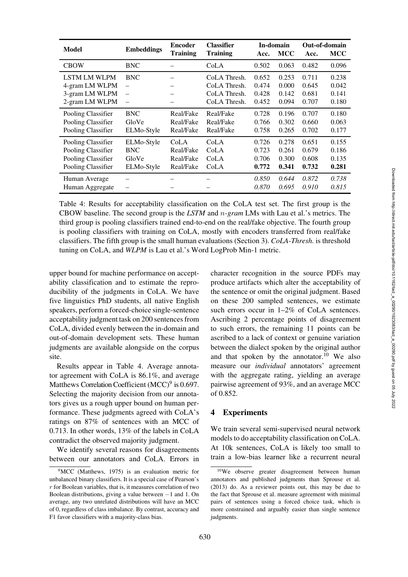<span id="page-5-0"></span>

| Model                                                                                                                                           | <b>Embeddings</b>                                                                              | <b>Classifier</b><br><b>Encoder</b><br><b>Training</b><br><b>Training</b> |                                                              | In-domain<br>MCC<br>Acc.         |                                  | Out-of-domain<br><b>MCC</b><br>Acc. |                                  |
|-------------------------------------------------------------------------------------------------------------------------------------------------|------------------------------------------------------------------------------------------------|---------------------------------------------------------------------------|--------------------------------------------------------------|----------------------------------|----------------------------------|-------------------------------------|----------------------------------|
| <b>CBOW</b>                                                                                                                                     | <b>BNC</b>                                                                                     | CoLA                                                                      |                                                              | 0.502                            | 0.063                            | 0.482                               | 0.096                            |
| <b>LSTM LM WLPM</b><br><b>BNC</b><br>4-gram LM WLPM<br>$\overline{\phantom{0}}$<br>3-gram LM WLPM<br>$\overline{\phantom{0}}$<br>2-gram LM WLPM |                                                                                                |                                                                           | CoLA Thresh.<br>CoLA Thresh.<br>CoLA Thresh.<br>CoLA Thresh. | 0.652<br>0.474<br>0.428<br>0.452 | 0.253<br>0.000<br>0.142<br>0.094 | 0.711<br>0.645<br>0.681<br>0.707    | 0.238<br>0.042<br>0.141<br>0.180 |
| Pooling Classifier<br>Pooling Classifier<br>Pooling Classifier                                                                                  | <b>BNC</b><br>GloVe<br>ELMo-Style                                                              | Real/Fake<br>Real/Fake<br>Real/Fake                                       | Real/Fake<br>Real/Fake<br>Real/Fake                          | 0.728<br>0.766<br>0.758          | 0.196<br>0.302<br>0.265          | 0.707<br>0.660<br>0.702             | 0.180<br>0.063<br>0.177          |
| Pooling Classifier<br>Pooling Classifier<br>Pooling Classifier<br>Pooling Classifier                                                            | ELMo-Style<br>CoLA<br>Real/Fake<br><b>BNC</b><br>Real/Fake<br>GloVe<br>ELMo-Style<br>Real/Fake |                                                                           | CoLA<br>CoLA<br>CoLA<br>CoLA                                 | 0.726<br>0.723<br>0.706<br>0.772 | 0.278<br>0.261<br>0.300<br>0.341 | 0.651<br>0.679<br>0.608<br>0.732    | 0.155<br>0.186<br>0.135<br>0.281 |
| Human Average<br>Human Aggregate                                                                                                                |                                                                                                |                                                                           | 0.850<br>0.870                                               | 0.644<br>0.695                   | 0.872<br>0.910                   | 0.738<br>0.815                      |                                  |

Table 4: Results for acceptability classification on the CoLA test set. The first group is the CBOW baseline. The second group is the *LSTM* and *n-gram* LMs with Lau et al.'s metrics. The third group is pooling classifiers trained end-to-end on the real/fake objective. The fourth group is pooling classifiers with training on CoLA, mostly with encoders transferred from real/fake classifiers. The fifth group is the small human evaluations (Section [3\)](#page-2-0). *CoLA-Thresh.* is threshold tuning on CoLA, and *WLPM* is Lau et al.'s Word LogProb Min-1 metric.

upper bound for machine performance on acceptability classification and to estimate the reproducibility of the judgments in CoLA. We have five linguistics PhD students, all native English speakers, perform a forced-choice single-sentence acceptability judgment task on 200 sentences from CoLA, divided evenly between the in-domain and out-of-domain development sets. These human judgments are available alongside on the corpus site.

Results appear in [Table 4.](#page-5-0) Average annotator agreement with CoLA is 86.1%, and average Matthews Correlation Coefficient  $(MCC)^9$  $(MCC)^9$  is 0.697. Selecting the majority decision from our annotators gives us a rough upper bound on human performance. These judgments agreed with CoLA's ratings on 87% of sentences with an MCC of 0.713. In other words, 13% of the labels in CoLA contradict the observed majority judgment.

We identify several reasons for disagreements between our annotators and CoLA. Errors in character recognition in the source PDFs may produce artifacts which alter the acceptability of the sentence or omit the original judgment. Based on these 200 sampled sentences, we estimate such errors occur in 1–2% of CoLA sentences. Ascribing 2 percentage points of disagreement to such errors, the remaining 11 points can be ascribed to a lack of context or genuine variation between the dialect spoken by the original author and that spoken by the annotator.<sup>[10](#page-5-2)</sup> We also measure our *individual* annotators' agreement with the aggregate rating, yielding an average pairwise agreement of 93%, and an average MCC of 0.852.

## 4 Experiments

We train several semi-supervised neural network models to do acceptability classification on CoLA. At 10k sentences, CoLA is likely too small to train a low-bias learner like a recurrent neural

<span id="page-5-1"></span><sup>&</sup>lt;sup>9</sup>MCC [\(Matthews, 1975\)](#page-15-15) is an evaluation metric for unbalanced binary classifiers. It is a special case of Pearson's *r* for Boolean variables, that is, it measures correlation of two Boolean distributions, giving a value between −1 and 1. On average, any two unrelated distributions will have an MCC of 0, regardless of class imbalance. By contrast, accuracy and F1 favor classifiers with a majority-class bias.

<span id="page-5-2"></span><sup>10</sup>We observe greater disagreement between human annotators and published judgments than [Sprouse et al.](#page-16-4) [\(2013](#page-16-4)) do. As a reviewer points out, this may be due to the fact that [Sprouse et al.](#page-16-4) measure agreement with minimal pairs of sentences using a forced choice task, which is more constrained and arguably easier than single sentence judgments.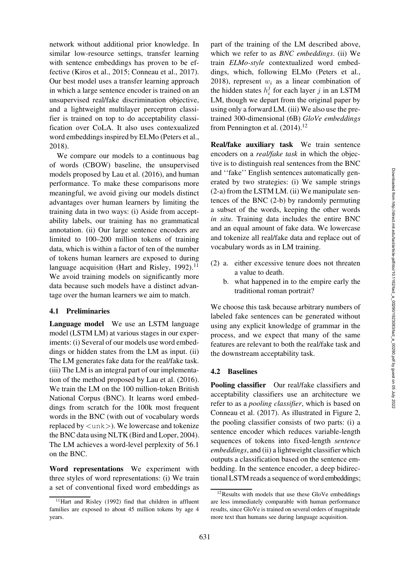network without additional prior knowledge. In similar low-resource settings, transfer learning with sentence embeddings has proven to be effective [\(Kiros et al.](#page-15-16), [2015](#page-15-16); [Conneau et al., 2017\)](#page-14-18). Our best model uses a transfer learning approach in which a large sentence encoder is trained on an unsupervised real/fake discrimination objective, and a lightweight multilayer perceptron classifier is trained on top to do acceptability classification over CoLA. It also uses contexualized word embeddings inspired by ELMo [\(Peters et al.,](#page-15-17) [2018](#page-15-17)).

We compare our models to a continuous bag of words (CBOW) baseline, the unsupervised models proposed by [Lau et al.](#page-15-2) [\(2016\)](#page-15-2), and human performance. To make these comparisons more meaningful, we avoid giving our models distinct advantages over human learners by limiting the training data in two ways: (i) Aside from acceptability labels, our training has no grammatical annotation. (ii) Our large sentence encoders are limited to 100–200 million tokens of training data, which is within a factor of ten of the number of tokens human learners are exposed to during language acquisition [\(Hart and Risley](#page-14-19), [1992\)](#page-14-19).<sup>[11](#page-6-0)</sup> We avoid training models on significantly more data because such models have a distinct advantage over the human learners we aim to match.

#### 4.1 Preliminaries

Language model We use an LSTM language model (LSTM LM) at various stages in our experiments: (i) Several of our models use word embeddings or hidden states from the LM as input. (ii) The LM generates fake data for the real/fake task. (iii) The LM is an integral part of our implementation of the method proposed by [Lau et al.](#page-15-2) [\(2016](#page-15-2)). We train the LM on the 100 million-token British National Corpus (BNC). It learns word embeddings from scratch for the 100k most frequent words in the BNC (with out of vocabulary words replaced by *<*unk*>*). We lowercase and tokenize the BNC data using NLTK [\(Bird and Loper, 2004](#page-14-20)). The LM achieves a word-level perplexity of 56.1 on the BNC.

Word representations We experiment with three styles of word representations: (i) We train a set of conventional fixed word embeddings as part of the training of the LM described above, which we refer to as *BNC embeddings*. (ii) We train *ELMo-style* contextualized word embeddings, which, following ELMo [\(Peters et al.,](#page-15-17) [2018](#page-15-17)), represent  $w_i$  as a linear combination of the hidden states  $h_i^j$  for each layer *j* in an LSTM LM, though we depart from the original paper by using only a forward LM. (iii) We also use the pretrained 300-dimensional (6B) *GloVe embeddings* from [Pennington et al.](#page-15-18)  $(2014).<sup>12</sup>$  $(2014).<sup>12</sup>$  $(2014).<sup>12</sup>$  $(2014).<sup>12</sup>$ 

Real/fake auxiliary task We train sentence encoders on a *real/fake task* in which the objective is to distinguish real sentences from the BNC and ''fake'' English sentences automatically generated by two strategies: (i) We sample strings [\(2-a\)](#page-6-2) from the LSTM LM. (ii) We manipulate sentences of the BNC [\(2-b\)](#page-6-3) by randomly permuting a subset of the words, keeping the other words *in situ*. Training data includes the entire BNC and an equal amount of fake data. We lowercase and tokenize all real/fake data and replace out of vocabulary words as in LM training.

- <span id="page-6-3"></span><span id="page-6-2"></span>(2) a. either excessive tenure does not threaten a value to death.
	- b. what happened in to the empire early the traditional roman portrait?

We choose this task because arbitrary numbers of labeled fake sentences can be generated without using any explicit knowledge of grammar in the process, and we expect that many of the same features are relevant to both the real/fake task and the downstream acceptability task.

#### 4.2 Baselines

Pooling classifier Our real/fake classifiers and acceptability classifiers use an architecture we refer to as a *pooling classifier*, which is based on [Conneau et al.](#page-14-18) [\(2017\)](#page-14-18). As illustrated in [Figure 2,](#page-7-0) the pooling classifier consists of two parts: (i) a sentence encoder which reduces variable-length sequences of tokens into fixed-length *sentence embeddings*, and (ii) a lightweight classifier which outputs a classification based on the sentence embedding. In the sentence encoder, a deep bidirectional LSTM reads a sequence of word embeddings;

<span id="page-6-0"></span><sup>&</sup>lt;sup>11</sup>Hart and Risley [\(1992\)](#page-14-19) find that children in affluent families are exposed to about 45 million tokens by age 4 years.

<span id="page-6-1"></span><sup>12</sup>Results with models that use these GloVe embeddings are less immediately comparable with human performance results, since GloVe is trained on several orders of magnitude more text than humans see during language acquisition.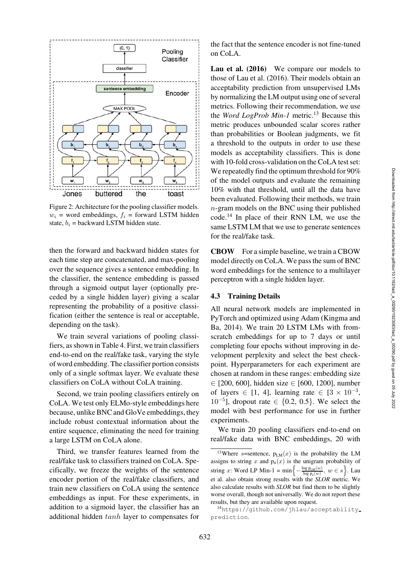<span id="page-7-0"></span>

Figure 2: Architecture for the pooling classifier models.  $w_i$  = word embeddings,  $f_i$  = forward LSTM hidden state,  $b_i$  = backward LSTM hidden state.

then the forward and backward hidden states for each time step are concatenated, and max-pooling over the sequence gives a sentence embedding. In the classifier, the sentence embedding is passed through a sigmoid output layer (optionally preceded by a single hidden layer) giving a scalar representing the probability of a positive classification (either the sentence is real or acceptable, depending on the task).

We train several variations of pooling classifiers, as shown in [Table 4.](#page-5-0) First, we train classifiers end-to-end on the real/fake task, varying the style of word embedding. The classifier portion consists only of a single softmax layer. We evaluate these classifiers on CoLA without CoLA training.

Second, we train pooling classifiers entirely on CoLA. We test only ELMo-style embeddings here because, unlike BNC and GloVe embeddings, they include robust contextual information about the entire sequence, eliminating the need for training a large LSTM on CoLA alone.

Third, we transfer features learned from the real/fake task to classifiers trained on CoLA. Specifically, we freeze the weights of the sentence encoder portion of the real/fake classifiers, and train new classifiers on CoLA using the sentence embeddings as input. For these experiments, in addition to a sigmoid layer, the classifier has an additional hidden *tanh* layer to compensates for the fact that the sentence encoder is not fine-tuned on CoLA.

Lau et al. (2016) We compare our models to those of [Lau et al.](#page-15-2) [\(2016\)](#page-15-2). Their models obtain an acceptability prediction from unsupervised LMs by normalizing the LM output using one of several metrics. Following their recommendation, we use the *Word LogProb Min-1* metric.<sup>[13](#page-7-1)</sup> Because this metric produces unbounded scalar scores rather than probabilities or Boolean judgments, we fit a threshold to the outputs in order to use these models as acceptability classifiers. This is done with 10-fold cross-validation on the CoLA test set: We repeatedly find the optimum threshold for 90% of the model outputs and evaluate the remaining 10% with that threshold, until all the data have been evaluated. Following their methods, we train *n*-gram models on the BNC using their published code.[14](#page-7-2) In place of their RNN LM, we use the same LSTM LM that we use to generate sentences for the real/fake task.

CBOW For a simple baseline, we train a CBOW model directly on CoLA. We pass the sum of BNC word embeddings for the sentence to a multilayer perceptron with a single hidden layer.

#### 4.3 Training Details

All neural network models are implemented in Py[Torch](#page-15-19) [and](#page-15-19) [optimized](#page-15-19) [using](#page-15-19) [Adam](#page-15-19) [\(](#page-15-19)Kingma and Ba, [2014\)](#page-15-19). We train 20 LSTM LMs with fromscratch embeddings for up to 7 days or until completing four epochs without improving in development perplexity and select the best checkpoint. Hyperparameters for each experiment are chosen at random in these ranges: embedding size ∈ [200, 600], hidden size ∈ [600, 1200], number of layers  $\in$  [1, 4], learning rate  $\in$  [3  $\times$  10<sup>-3</sup>,  $10^{-5}$ ], dropout rate  $\in \{0.2, 0.5\}$ . We select the model with best performance for use in further experiments.

We train 20 pooling classifiers end-to-end on real/fake data with BNC embeddings, 20 with

<span id="page-7-1"></span><sup>&</sup>lt;sup>13</sup>Where *s*=sentence,  $p_{LM}(x)$  is the probability the LM assigns to string  $x$  and  $p_u(x)$  is the unigram probability of string *x*: Word LP Min-1 = min $\left\{-\frac{\log p_{\text{L,M}}(w)}{\log p_{\text{u}}(w)}, w \in s\right\}$ . Lau et al. also obtain strong results with the *SLOR* metric. We also calculate results with *SLOR* but find them to be slightly worse overall, though not universally. We do not report these results, but they are available upon request.

<span id="page-7-2"></span><sup>14</sup>[https://github.com/jhlau/acceptability](https://github.com/jhlau/acceptability_prediction) [prediction](https://github.com/jhlau/acceptability_prediction).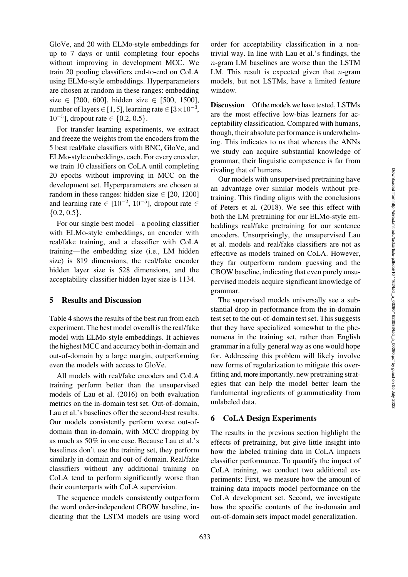GloVe, and 20 with ELMo-style embeddings for up to 7 days or until completing four epochs without improving in development MCC. We train 20 pooling classifiers end-to-end on CoLA using ELMo-style embeddings. Hyperparameters are chosen at random in these ranges: embedding size  $\in$  [200, 600], hidden size  $\in$  [500, 1500], number of layers ∈ [1, 5], learning rate ∈ [3×10<sup>-3</sup>,  $10^{-5}$ ], dropout rate  $\in \{0.2, 0.5\}$ .

For transfer learning experiments, we extract and freeze the weights from the encoders from the 5 best real/fake classifiers with BNC, GloVe, and ELMo-style embeddings, each. For every encoder, we train 10 classifiers on CoLA until completing 20 epochs without improving in MCC on the development set. Hyperparameters are chosen at random in these ranges: hidden size  $\in$  [20, 1200] and learning rate ∈  $[10^{-2}, 10^{-5}]$ , dropout rate ∈  $\{0.2, 0.5\}.$ 

For our single best model—a pooling classifier with ELMo-style embeddings, an encoder with real/fake training, and a classifier with CoLA training—the embedding size (i.e., LM hidden size) is 819 dimensions, the real/fake encoder hidden layer size is 528 dimensions, and the acceptability classifier hidden layer size is 1134.

### 5 Results and Discussion

[Table 4](#page-5-0) shows the results of the best run from each experiment. The best model overall is the real/fake model with ELMo-style embeddings. It achieves the highest MCC and accuracy both in-domain and out-of-domain by a large margin, outperforming even the models with access to GloVe.

All models with real/fake encoders and CoLA training perform better than the unsupervised models of [Lau et al.](#page-15-2) [\(2016\)](#page-15-2) on both evaluation metrics on the in-domain test set. Out-of-domain, Lau et al.'s baselines offer the second-best results. Our models consistently perform worse out-ofdomain than in-domain, with MCC dropping by as much as 50% in one case. Because [Lau et al.](#page-15-2)'s baselines don't use the training set, they perform similarly in-domain and out-of-domain. Real/fake classifiers without any additional training on CoLA tend to perform significantly worse than their counterparts with CoLA supervision.

The sequence models consistently outperform the word order-independent CBOW baseline, indicating that the LSTM models are using word

order for acceptability classification in a nontrivial way. In line with Lau et al.'s findings, the *n*-gram LM baselines are worse than the LSTM LM. This result is expected given that *n*-gram models, but not LSTMs, have a limited feature window.

Discussion Of the models we have tested, LSTMs are the most effective low-bias learners for acceptability classification. Compared with humans, though, their absolute performance is underwhelming. This indicates to us that whereas the ANNs we study can acquire substantial knowledge of grammar, their linguistic competence is far from rivaling that of humans.

Our models with unsupervised pretraining have an advantage over similar models without pretraining. This finding aligns with the conclusions of [Peters et al.](#page-15-17) [\(2018](#page-15-17)). We see this effect with both the LM pretraining for our ELMo-style embeddings real/fake pretraining for our sentence enco[ders.](#page-15-2) [Unsurprisingly,](#page-15-2) [the](#page-15-2) [unsupervised](#page-15-2) Lau et al. models and real/fake classifiers are not as effective as models trained on CoLA. However, they far outperform random guessing and the CBOW baseline, indicating that even purely unsupervised models acquire significant knowledge of grammar.

The supervised models universally see a substantial drop in performance from the in-domain test set to the out-of-domain test set. This suggests that they have specialized somewhat to the phenomena in the training set, rather than English grammar in a fully general way as one would hope for. Addressing this problem will likely involve new forms of regularization to mitigate this overfitting and, more importantly, new pretraining strategies that can help the model better learn the fundamental ingredients of grammaticality from unlabeled data.

#### <span id="page-8-0"></span>6 CoLA Design Experiments

The results in the previous section highlight the effects of pretraining, but give little insight into how the labeled training data in CoLA impacts classifier performance. To quantify the impact of CoLA training, we conduct two additional experiments: First, we measure how the amount of training data impacts model performance on the CoLA development set. Second, we investigate how the specific contents of the in-domain and out-of-domain sets impact model generalization.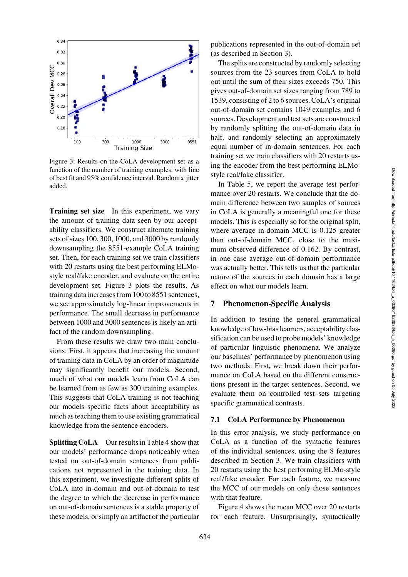<span id="page-9-0"></span>

Figure 3: Results on the CoLA development set as a function of the number of training examples, with line of best fit and 95% confidence interval. Random *x* jitter added.

Training set size In this experiment, we vary the amount of training data seen by our acceptability classifiers. We construct alternate training sets of sizes 100, 300, 1000, and 3000 by randomly downsampling the 8551-example CoLA training set. Then, for each training set we train classifiers with 20 restarts using the best performing ELMostyle real/fake encoder, and evaluate on the entire development set. [Figure 3](#page-9-0) plots the results. As training data increases from 100 to 8551 sentences, we see approximately log-linear improvements in performance. The small decrease in performance between 1000 and 3000 sentences is likely an artifact of the random downsampling.

From these results we draw two main conclusions: First, it appears that increasing the amount of training data in CoLA by an order of magnitude may significantly benefit our models. Second, much of what our models learn from CoLA can be learned from as few as 300 training examples. This suggests that CoLA training is not teaching our models specific facts about acceptability as much as teaching them to use existing grammatical knowledge from the sentence encoders.

Splitting CoLA Our results in [Table 4](#page-5-0) show that our models' performance drops noticeably when tested on out-of-domain sentences from publications not represented in the training data. In this experiment, we investigate different splits of CoLA into in-domain and out-of-domain to test the degree to which the decrease in performance on out-of-domain sentences is a stable property of these models, or simply an artifact of the particular publications represented in the out-of-domain set (as described in Section [3\)](#page-2-0).

The splits are constructed by randomly selecting sources from the 23 sources from CoLA to hold out until the sum of their sizes exceeds 750. This gives out-of-domain set sizes ranging from 789 to 1539, consisting of 2 to 6 sources. CoLA's original out-of-domain set contains 1049 examples and 6 sources. Development and test sets are constructed by randomly splitting the out-of-domain data in half, and randomly selecting an approximately equal number of in-domain sentences. For each training set we train classifiers with 20 restarts using the encoder from the best performing ELMostyle real/fake classifier.

In [Table 5,](#page-10-0) we report the average test performance over 20 restarts. We conclude that the domain difference between two samples of sources in CoLA is generally a meaningful one for these models. This is especially so for the original split, where average in-domain MCC is 0.125 greater than out-of-domain MCC, close to the maximum observed difference of 0.162. By contrast, in one case average out-of-domain performance was actually better. This tells us that the particular nature of the sources in each domain has a large effect on what our models learn.

## 7 Phenomenon-Specific Analysis

In addition to testing the general grammatical knowledge of low-bias learners, acceptability classification can be used to probe models' knowledge of particular linguistic phenomena. We analyze our baselines' performance by phenomenon using two methods: First, we break down their performance on CoLA based on the different constructions present in the target sentences. Second, we evaluate them on controlled test sets targeting specific grammatical contrasts.

#### 7.1 CoLA Performance by Phenomenon

In this error analysis, we study performance on CoLA as a function of the syntactic features of the individual sentences, using the 8 features described in Section [3.](#page-2-0) We train classifiers with 20 restarts using the best performing ELMo-style real/fake encoder. For each feature, we measure the MCC of our models on only those sentences with that feature.

[Figure 4](#page-10-1) shows the mean MCC over 20 restarts for each feature. Unsurprisingly, syntactically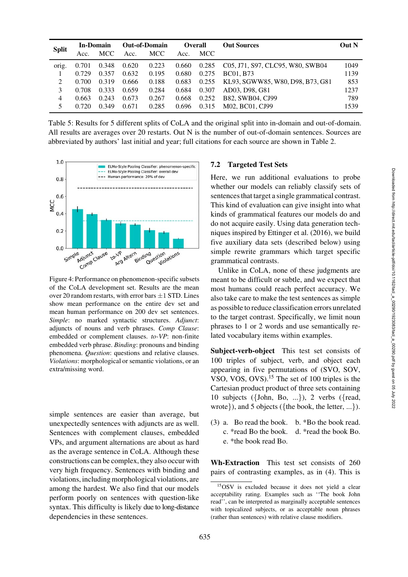| ۰                                                   |  |  |
|-----------------------------------------------------|--|--|
| ı.<br>e                                             |  |  |
|                                                     |  |  |
| e<br>f<br>t.<br>t                                   |  |  |
| $\mathbf{d}$<br>$\overline{a}$<br>$\mathbf{d}$<br>g |  |  |
| $\mathbf c$<br>e                                    |  |  |
| It<br>e                                             |  |  |
| e<br>d                                              |  |  |
| n<br>-                                              |  |  |

Downloaded from http://direct.mit.edu/tacl/article-pdf/doi/10.1162/tacl\_a\_00290/1923083/tacl\_a\_00290.pdf by guest on 05 July 2022

Downloaded from http://direct.mit.edu/tacl/article-pdf/doi/10.1162/tacl\_a\_00290/1923083/tacl\_a\_00290.pdf by guest on 05 July 2022

<span id="page-10-0"></span>

|              | In-Domain |            | <b>Out-of-Domain</b> |            | <b>Overall</b> |       | <b>Out Sources</b>               | Out N |
|--------------|-----------|------------|----------------------|------------|----------------|-------|----------------------------------|-------|
| <b>Split</b> | Acc.      | <b>MCC</b> | Acc.                 | <b>MCC</b> | Acc.           | MCC   |                                  |       |
| orig.        | 0.701     | 0.348      | 0.620                | 0.223      | 0.660          | 0.285 | C05, J71, S97, CLC95, W80, SWB04 | 1049  |
|              | 0.729     | 0.357      | 0.632                | 0.195      | 0.680          | 0.275 | <b>BC01.</b> B73                 | 1139  |
| 2            | 0.700     | 0.319      | 0.666                | 0.188      | 0.683          | 0.255 | KL93, SGWW85, W80, D98, B73, G81 | 853   |
| 3            | 0.708     | 0.333      | 0.659                | 0.284      | 0.684          | 0.307 | AD03, D98, G81                   | 1237  |
| 4            | 0.663     | 0.243      | 0.673                | 0.267      | 0.668          | 0.252 | B82, SWB04, CJ99                 | 789   |
| 5            | 0.720     | 0.349      | 0.671                | 0.285      | 0.696          | 0.315 | M02, BC01, CJ99                  | 1539  |

Table 5: Results for 5 different splits of CoLA and the original split into in-domain and out-of-domain. All results are averages over 20 restarts. Out N is the number of out-of-domain sentences. Sources are abbreviated by authors' last initial and year; full citations for each source are shown in [Table 2.](#page-3-0)

<span id="page-10-1"></span>

Figure 4: Performance on phenomenon-specific subsets of the CoLA development set. Results are the mean over 20 random restarts, with error bars  $\pm 1$  STD. Lines show mean performance on the entire dev set and mean human performance on 200 dev set sentences. *Simple*: no marked syntactic structures. *Adjunct*: adjuncts of nouns and verb phrases. *Comp Clause*: embedded or complement clauses. *to-VP*: non-finite embedded verb phrase. *Binding*: pronouns and binding phenomena. *Question*: questions and relative clauses. *Violations*: morphological or semantic violations, or an extra/missing word.

simple sentences are easier than average, but unexpectedly sentences with adjuncts are as well. Sentences with complement clauses, embedded VPs, and argument alternations are about as hard as the average sentence in CoLA. Although these constructions can be complex, they also occur with very high frequency. Sentences with binding and violations, including morphological violations, are among the hardest. We also find that our models perform poorly on sentences with question-like syntax. This difficulty is likely due to long-distance dependencies in these sentences.

# 7.2 Targeted Test Sets

Here, we run additional evaluations to probe whether our models can reliably classify sets of sentences that target a single grammatical contrast. This kind of evaluation can give insight into what kinds of grammatical features our models do and do not acquire easily. Using data generation techniques inspired by [Ettinger et al.](#page-14-21) [\(2016](#page-14-21)), we build five auxiliary data sets (described below) using simple rewrite grammars which target specific grammatical contrasts.

Unlike in CoLA, none of these judgments are meant to be difficult or subtle, and we expect that most humans could reach perfect accuracy. We also take care to make the test sentences as simple as possible to reduce classification errors unrelated to the target contrast. Specifically, we limit noun phrases to 1 or 2 words and use semantically related vocabulary items within examples.

Subject-verb-object This test set consists of 100 triples of subject, verb, and object each appearing in five permutations of (SVO, SOV, VSO, VOS, OVS).[15](#page-10-2) The set of 100 triples is the Cartesian product product of three sets containing 10 subjects ( $\{John, Bo, ...\}$ ), 2 verbs ( $\{read,$ wrote}), and 5 objects ({the book, the letter, ...}).

(3) a. Bo read the book. b. \*Bo the book read. c. \*read Bo the book. d. \*read the book Bo. e. \*the book read Bo.

Wh-Extraction This test set consists of 260 pairs of contrasting examples, as in [\(4\).](#page-11-0) This is

<span id="page-10-2"></span><sup>15</sup>OSV is excluded because it does not yield a clear acceptability rating. Examples such as ''The book John read'', can be interpreted as marginally acceptable sentences with topicalized subjects, or as acceptable noun phrases (rather than sentences) with relative clause modifiers.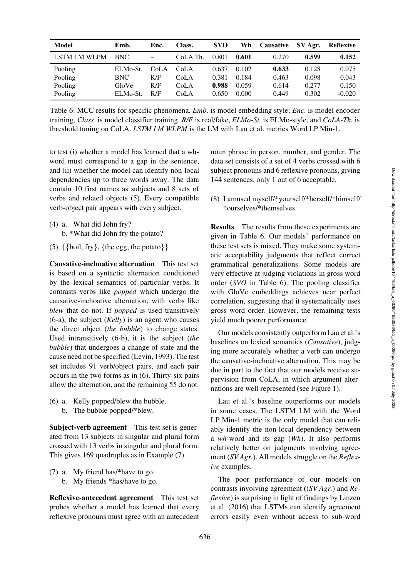Downloaded from http://direct.mit.edu/tarl/article-pdf/doi/10.1162/tacl\_a\_00290/1923083/tacl\_a\_00290.pdf by guest on 05 July 2022 Downloaded from http://direct.mit.edu/tacl/article-pdf/doi/10.1162/tacl\_a\_00290/1923083/tacl\_a\_00290.pdf by guest on 05 July 2022

<span id="page-11-6"></span>

| Model        | Emb.       | Enc.                     | Class.   | <b>SVO</b> | Wh    | Causative | SV Agr. | Reflexive |
|--------------|------------|--------------------------|----------|------------|-------|-----------|---------|-----------|
| LSTM LM WLPM | BNC.       | $\overline{\phantom{m}}$ | CoLA Th. | 0.801      | 0.601 | 0.270     | 0.599   | 0.152     |
| Pooling      | ELMo-St.   | CoLA                     | CoLA     | 0.637      | 0.102 | 0.633     | 0.128   | 0.075     |
| Pooling      | <b>BNC</b> | R/F                      | CoLA     | 0.381      | 0.184 | 0.463     | 0.098   | 0.043     |
| Pooling      | GloVe      | R/F                      | CoLA     | 0.988      | 0.059 | 0.614     | 0.277   | 0.150     |
| Pooling      | ELMo-St.   | R/F                      | CoLA     | 0.650      | 0.000 | 0.449     | 0.302   | $-0.020$  |

Table 6: MCC results for specific phenomena. *Emb*. is model embedding style; *Enc*. is model encoder training, *Class*. is model classifier training. *R/F* is real/fake, *ELMo-St.* is ELMo-style, and *CoLA-Th.* is threshold tuning on CoLA. *LSTM LM WLPM* is the LM with Lau et al. metrics Word LP Min-1.

to test (i) whether a model has learned that a whword must correspond to a gap in the sentence, and (ii) whether the model can identify non-local dependencies up to three words away. The data contain 10 first names as subjects and 8 sets of verbs and related objects [\(5\).](#page-11-1) Every compatible verb-object pair appears with every subject.

- <span id="page-11-1"></span><span id="page-11-0"></span>(4) a. What did John fry? b. \*What did John fry the potato?
- (5)  $\{\{\text{boil}, \text{fry}\}, \{\text{the egg}, \text{the potato}\}\}\$

Causative-inchoative alternation This test set is based on a syntactic alternation conditioned by the lexical semantics of particular verbs. It contrasts verbs like *popped* which undergo the causative-inchoative alternation, with verbs like *blew* that do not. If *popped* is used transitively [\(6-a\),](#page-11-2) the subject (*Kelly*) is an agent who causes the direct object (*the bubble*) to change states. Used intransitively [\(6-b\),](#page-11-3) it is the subject (*the bubble*) that undergoes a change of state and the cause need not be specified [\(Levin, 1993\)](#page-15-7). The test set includes 91 verb/object pairs, and each pair occurs in the two forms as in [\(6\).](#page-11-4) Thirty-six pairs allow the alternation, and the remaining 55 do not.

- <span id="page-11-4"></span><span id="page-11-3"></span><span id="page-11-2"></span>(6) a. Kelly popped/blew the bubble.
	- b. The bubble popped/\*blew.

Subject-verb agreement This test set is generated from 13 subjects in singular and plural form crossed with 13 verbs in singular and plural form. This gives 169 quadruples as in Example [\(7\).](#page-11-5)

- <span id="page-11-5"></span>(7) a. My friend has/\*have to go.
	- b. My friends \*has/have to go.

Reflexive-antecedent agreement This test set probes whether a model has learned that every reflexive pronouns must agree with an antecedent noun phrase in person, number, and gender. The data set consists of a set of 4 verbs crossed with 6 subject pronouns and 6 reflexive pronouns, giving 144 sentences, only 1 out of 6 acceptable.

(8) I amused myself/\*yourself/\*herself/\*himself/ \*ourselves/\*themselves.

Results The results from these experiments are given in [Table 6.](#page-11-6) Our models' performance on these test sets is mixed. They make some systematic acceptability judgments that reflect correct grammatical generalizations. Some models are very effective at judging violations in gross word order (*SVO* in [Table 6\)](#page-11-6). The pooling classifier with GloVe embeddings achieves near perfect correlation, suggesting that it systematically uses gross word order. However, the remaining tests yield much poorer performance.

Our models consistently outperform Lau et al.'s baselines on lexical semantics (*Causative*), judging more accurately whether a verb can undergo the causative-inchoative alternation. This may be due in part to the fact that our models receive supervision from CoLA, in which argument alternations are well represented (see [Figure 1\)](#page-4-2).

Lau et al.'s baseline outperforms our models in some cases. The LSTM LM with the Word LP Min-1 metric is the only model that can reliably identify the non-local dependency between a *wh*-word and its gap (*Wh*). It also performs relatively better on judgments involving agreement (*SV Agr.*). All models struggle on the *Reflexive* examples.

The poor performance of our models on contrasts involving agreement ((*SV Agr.*) and *Reflexive*[\) is surprising in light of findings by](#page-15-3) Linzen et al. [\(2016\)](#page-15-3) that LSTMs can identify agreement errors easily even without access to sub-word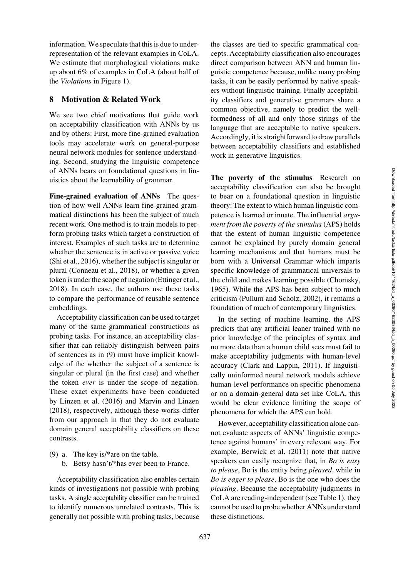information. We speculate that this is due to underrepresentation of the relevant examples in CoLA. We estimate that morphological violations make up about 6% of examples in CoLA (about half of the *Violations* in [Figure 1\)](#page-4-2).

## <span id="page-12-1"></span>8 Motivation & Related Work

We see two chief motivations that guide work on acceptability classification with ANNs by us and by others: First, more fine-grained evaluation tools may accelerate work on general-purpose neural network modules for sentence understanding. Second, studying the linguistic competence of ANNs bears on foundational questions in linuistics about the learnability of grammar.

Fine-grained evaluation of ANNs The question of how well ANNs learn fine-grained grammatical distinctions has been the subject of much recent work. One method is to train models to perform probing tasks which target a construction of interest. Examples of such tasks are to determine whether the sentence is in active or passive voice [\(Shi et al.](#page-15-20), [2016\)](#page-15-20), whether the subject is singular or plural [\(Conneau et al., 2018\)](#page-14-1), or whether a given token is under the scope of negation [\(Ettinger et al.,](#page-14-2) [2018](#page-14-2)). In each case, the authors use these tasks to compare the performance of reusable sentence embeddings.

Acceptability classification can be used to target many of the same grammatical constructions as probing tasks. For instance, an acceptability classifier that can reliably distinguish between pairs of sentences as in [\(9\)](#page-12-0) must have implicit knowledge of the whether the subject of a sentence is singular or plural (in the first case) and whether the token *ever* is under the scope of negation. These exact experiments have been conducted by [Linzen et al.](#page-15-3) [\(2016\)](#page-15-3) and [Marvin and Linzen](#page-15-4) [\(2018\)](#page-15-4), respectively, although these works differ from our approach in that they do not evaluate domain general acceptability classifiers on these contrasts.

<span id="page-12-0"></span>(9) a. The key is/\*are on the table. b. Betsy hasn't/\*has ever been to France.

Acceptability classification also enables certain kinds of investigations not possible with probing tasks. A single acceptability classifier can be trained to identify numerous unrelated contrasts. This is generally not possible with probing tasks, because the classes are tied to specific grammatical concepts. Acceptability classification also encourages direct comparison between ANN and human linguistic competence because, unlike many probing tasks, it can be easily performed by native speakers without linguistic training. Finally acceptability classifiers and generative grammars share a common objective, namely to predict the wellformedness of all and only those strings of the language that are acceptable to native speakers. Accordingly, it is straightforward to draw parallels between acceptability classifiers and established work in generative linguistics.

The poverty of the stimulus Research on acceptability classification can also be brought to bear on a foundational question in linguistic theory: The extent to which human linguistic competence is learned or innate. The influential *argument from the poverty of the stimulus* (APS) holds that the extent of human linguistic competence cannot be explained by purely domain general learning mechanisms and that humans must be born with a Universal Grammar which imparts specific knowledge of grammatical universals to the child and makes learning possible [\(Chomsky,](#page-14-22) [1965](#page-14-22)). While the APS has been subject to much criticism [\(Pullum and Scholz](#page-15-21), [2002](#page-15-21)), it remains a foundation of much of contemporary linguistics.

In the setting of machine learning, the APS predicts that any artificial leaner trained with no prior knowledge of the principles of syntax and no more data than a human child sees must fail to make acceptability judgments with human-level accuracy [\(Clark and Lappin](#page-14-23), [2011\)](#page-14-23). If linguistically uninformed neural network models achieve human-level performance on specific phenomena or on a domain-general data set like CoLA, this would be clear evidence limiting the scope of phenomena for which the APS can hold.

However, acceptability classification alone cannot evaluate aspects of ANNs' linguistic competence against humans' in every relevant way. For example, [Berwick et al.](#page-13-4) [\(2011\)](#page-13-4) note that native speakers can easily recognize that, in *Bo is easy to please*, Bo is the entity being *pleased*, while in *Bo is eager to please*, Bo is the one who does the *pleasing*. Because the acceptability judgments in CoLA are reading-independent (see [Table 1\)](#page-2-1), they cannot be used to probe whether ANNs understand these distinctions.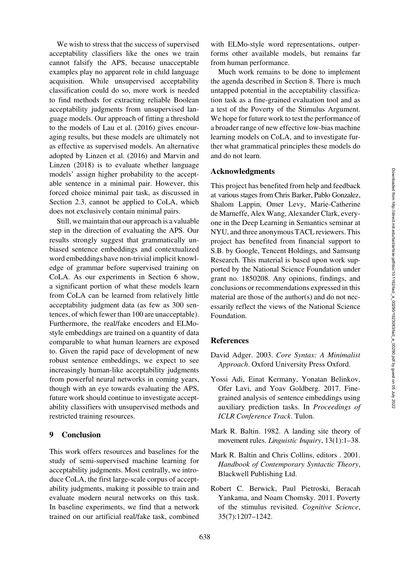We wish to stress that the success of supervised acceptability classifiers like the ones we train cannot falsify the APS, because unacceptable examples play no apparent role in child language acquisition. While unsupervised acceptability classification could do so, more work is needed to find methods for extracting reliable Boolean acceptability judgments from unsupervised language models. Our approach of fitting a threshold to the models of [Lau et al.](#page-15-2) [\(2016](#page-15-2)) gives encouraging results, but these models are ultimately not as effective as supervised models. An alternative adopte[d](#page-15-4) [by](#page-15-4) [Linzen et al.](#page-15-3) [\(2016](#page-15-3)[\)](#page-15-4) [and](#page-15-4) Marvin and Linzen [\(2018](#page-15-4)) is to evaluate whether language models' assign higher probability to the acceptable sentence in a minimal pair. However, this forced choice minimal pair task, as discussed in Section [2.3,](#page-1-7) cannot be applied to CoLA, which does not exclusively contain minimal pairs.

Still, we maintain that our approach is a valuable step in the direction of evaluating the APS. Our results strongly suggest that grammatically unbiased sentence embeddings and contextualized word embeddings have non-trivial implicit knowledge of grammar before supervised training on CoLA. As our experiments in Section [6](#page-8-0) show, a significant portion of what these models learn from CoLA can be learned from relatively little acceptability judgment data (as few as 300 sentences, of which fewer than 100 are unacceptable). Furthermore, the real/fake encoders and ELMostyle embeddings are trained on a quantity of data comparable to what human learners are exposed to. Given the rapid pace of development of new robust sentence embeddings, we expect to see increasingly human-like acceptability judgments from powerful neural networks in coming years, though with an eye towards evaluating the APS, future work should continue to investigate acceptability classifiers with unsupervised methods and restricted training resources.

### 9 Conclusion

This work offers resources and baselines for the study of semi-supervised machine learning for acceptability judgments. Most centrally, we introduce CoLA, the first large-scale corpus of acceptability judgments, making it possible to train and evaluate modern neural networks on this task. In baseline experiments, we find that a network trained on our artificial real/fake task, combined with ELMo-style word representations, outperforms other available models, but remains far from human performance.

Much work remains to be done to implement the agenda described in Section [8.](#page-12-1) There is much untapped potential in the acceptability classification task as a fine-grained evaluation tool and as a test of the Poverty of the Stimulus Argument. We hope for future work to test the performance of a broader range of new effective low-bias machine learning models on CoLA, and to investigate further what grammatical principles these models do and do not learn.

#### Acknowledgments

This project has benefited from help and feedback at various stages from Chris Barker, Pablo Gonzalez, Shalom Lappin, Omer Levy, Marie-Catherine de Marneffe, Alex Wang, Alexander Clark, everyone in the Deep Learning in Semantics seminar at NYU, and three anonymous TACL reviewers. This project has benefited from financial support to S.B. by Google, Tencent Holdings, and Samsung Research. This material is based upon work supported by the National Science Foundation under grant no. 1850208. Any opinions, findings, and conclusions or recommendations expressed in this material are those of the author(s) and do not necessarily reflect the views of the National Science Foundation.

# **References**

- <span id="page-13-1"></span>David Adger. 2003. *Core Syntax: A Minimalist Approach*. Oxford University Press Oxford.
- <span id="page-13-0"></span>Yossi Adi, Einat Kermany, Yonatan Belinkov, Ofer Lavi, and Yoav Goldberg. 2017. Finegrained analysis of sentence embeddings using auxiliary prediction tasks. In *Proceedings of ICLR Conference Track*. Tulon.
- <span id="page-13-2"></span>Mark R. Baltin. 1982. A landing site theory of movement rules. *Linguistic Inquiry*, 13(1):1–38.
- <span id="page-13-3"></span>Mark R. Baltin and Chris Collins, editors . 2001. *Handbook of Contemporary Syntactic Theory*, Blackwell Publishing Ltd.
- <span id="page-13-4"></span>Robert C. Berwick, Paul Pietroski, Beracah Yankama, and Noam Chomsky. 2011. Poverty of the stimulus revisited. *Cognitive Science*, 35(7):1207–1242.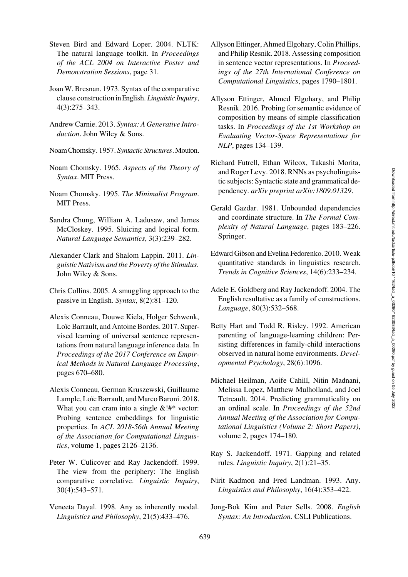- <span id="page-14-20"></span>Steven Bird and Edward Loper. 2004. NLTK: The natural language toolkit. In *Proceedings of the ACL 2004 on Interactive Poster and Demonstration Sessions*, page 31.
- <span id="page-14-8"></span>Joan W. Bresnan. 1973. Syntax of the comparative clause construction inEnglish. *Linguistic Inquiry*, 4(3):275–343.
- <span id="page-14-9"></span>Andrew Carnie. 2013. *Syntax: A Generative Introduction*. John Wiley & Sons.
- <span id="page-14-0"></span>NoamChomsky. 1957. *Syntactic Structures*.Mouton.
- <span id="page-14-22"></span>Noam Chomsky. 1965. *Aspects of the Theory of Syntax*. MIT Press.
- <span id="page-14-6"></span>Noam Chomsky. 1995. *The Minimalist Program*. MIT Press.
- <span id="page-14-15"></span>Sandra Chung, William A. Ladusaw, and James McCloskey. 1995. Sluicing and logical form. *Natural Language Semantics*, 3(3):239–282.
- <span id="page-14-23"></span>Alexander Clark and Shalom Lappin. 2011. *Linguistic Nativism and the Poverty of the Stimulus*. John Wiley & Sons.
- <span id="page-14-16"></span>Chris Collins. 2005. A smuggling approach to the passive in English. *Syntax*, 8(2):81–120.
- <span id="page-14-18"></span>Alexis Conneau, Douwe Kiela, Holger Schwenk, Loïc Barrault, and Antoine Bordes. 2017. Supervised learning of universal sentence representations from natural language inference data. In *Proceedings of the 2017 Conference on Empirical Methods in Natural Language Processing*, pages 670–680.
- <span id="page-14-1"></span>Alexis Conneau, German Kruszewski, Guillaume Lample, Loïc Barrault, and Marco Baroni. 2018. What you can cram into a single  $&$ !#\* vector: Probing sentence embeddings for linguistic properties. In *ACL 2018-56th Annual Meeting of the Association for Computational Linguistics*, volume 1, pages 2126–2136.
- <span id="page-14-10"></span>Peter W. Culicover and Ray Jackendoff. 1999. The view from the periphery: The English comparative correlative. *Linguistic Inquiry*, 30(4):543–571.
- <span id="page-14-11"></span>Veneeta Dayal. 1998. Any as inherently modal. *Linguistics and Philosophy*, 21(5):433–476.
- <span id="page-14-2"></span>Allyson Ettinger, Ahmed Elgohary, Colin Phillips, and Philip Resnik. 2018. Assessing composition in sentence vector representations. In *Proceedings of the 27th International Conference on Computational Linguistics*, pages 1790–1801.
- <span id="page-14-21"></span>Allyson Ettinger, Ahmed Elgohary, and Philip Resnik. 2016. Probing for semantic evidence of composition by means of simple classification tasks. In *Proceedings of the 1st Workshop on Evaluating Vector-Space Representations for NLP*, pages 134–139.
- <span id="page-14-5"></span>Richard Futrell, Ethan Wilcox, Takashi Morita, and Roger Levy. 2018. RNNs as psycholinguistic subjects: Syntactic state and grammatical dependency. *arXiv preprint arXiv:1809.01329*.
- <span id="page-14-12"></span>Gerald Gazdar. 1981. Unbounded dependencies and coordinate structure. In *The Formal Complexity of Natural Language*, pages 183–226. Springer.
- <span id="page-14-4"></span>Edward Gibson and Evelina Fedorenko. 2010. Weak quantitative standards in linguistics research. *Trends in Cognitive Sciences*, 14(6):233–234.
- <span id="page-14-13"></span>Adele E. Goldberg and Ray Jackendoff. 2004. The English resultative as a family of constructions. *Language*, 80(3):532–568.
- <span id="page-14-19"></span>Betty Hart and Todd R. Risley. 1992. American parenting of language-learning children: Persisting differences in family-child interactions observed in natural home environments. *Developmental Psychology*, 28(6):1096.
- <span id="page-14-3"></span>Michael Heilman, Aoife Cahill, Nitin Madnani, Melissa Lopez, Matthew Mulholland, and Joel Tetreault. 2014. Predicting grammaticality on an ordinal scale. In *Proceedings of the 52nd Annual Meeting of the Association for Computational Linguistics (Volume 2: Short Papers)*, volume 2, pages 174–180.
- <span id="page-14-17"></span>Ray S. Jackendoff. 1971. Gapping and related rules. *Linguistic Inquiry*, 2(1):21–35.
- <span id="page-14-14"></span>Nirit Kadmon and Fred Landman. 1993. Any. *Linguistics and Philosophy*, 16(4):353–422.
- <span id="page-14-7"></span>Jong-Bok Kim and Peter Sells. 2008. *English Syntax: An Introduction*. CSLI Publications.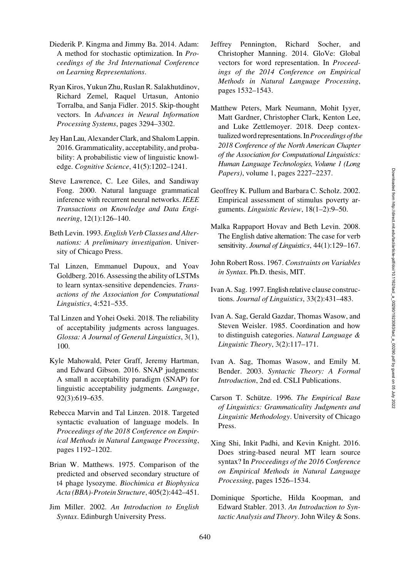- <span id="page-15-19"></span>Diederik P. Kingma and Jimmy Ba. 2014. Adam: A method for stochastic optimization. In *Proceedings of the 3rd International Conference on Learning Representations*.
- <span id="page-15-16"></span>Ryan Kiros, Yukun Zhu, Ruslan R. Salakhutdinov, Richard Zemel, Raquel Urtasun, Antonio Torralba, and Sanja Fidler. 2015. Skip-thought vectors. In *Advances in Neural Information Processing Systems*, pages 3294–3302.
- <span id="page-15-2"></span>Jey HanLau, Alexander Clark, and Shalom Lappin. 2016. Grammaticality, acceptability, and probability: A probabilistic view of linguistic knowledge. *Cognitive Science*, 41(5):1202–1241.
- <span id="page-15-1"></span>Steve Lawrence, C. Lee Giles, and Sandiway Fong. 2000. Natural language grammatical inference with recurrent neural networks. *IEEE Transactions on Knowledge and Data Engineering*, 12(1):126–140.
- <span id="page-15-7"></span>Beth Levin. 1993. *English Verb Classes and Alternations: A preliminary investigation*. University of Chicago Press.
- <span id="page-15-3"></span>Tal Linzen, Emmanuel Dupoux, and Yoav Goldberg. 2016. Assessing the ability of LSTMs to learn syntax-sensitive dependencies. *Transactions of the Association for Computational Linguistics*, 4:521–535.
- <span id="page-15-6"></span>Tal Linzen and Yohei Oseki. 2018. The reliability of acceptability judgments across languages. *Glossa: A Journal of General Linguistics*, 3(1), 100.
- <span id="page-15-5"></span>Kyle Mahowald, Peter Graff, Jeremy Hartman, and Edward Gibson. 2016. SNAP judgments: A small n acceptability paradigm (SNAP) for linguistic acceptability judgments. *Language*, 92(3):619–635.
- <span id="page-15-4"></span>Rebecca Marvin and Tal Linzen. 2018. Targeted syntactic evaluation of language models. In *Proceedings of the 2018 Conference on Empirical Methods in Natural Language Processing*, pages 1192–1202.
- <span id="page-15-15"></span>Brian W. Matthews. 1975. Comparison of the predicted and observed secondary structure of t4 phage lysozyme. *Biochimica et Biophysica Acta (BBA)-Protein Structure*, 405(2):442–451.
- <span id="page-15-9"></span>Jim Miller. 2002. *An Introduction to English Syntax*. Edinburgh University Press.
- <span id="page-15-18"></span>Jeffrey Pennington, Richard Socher, and Christopher Manning. 2014. GloVe: Global vectors for word representation. In *Proceedings of the 2014 Conference on Empirical Methods in Natural Language Processing*, pages 1532–1543.
- <span id="page-15-17"></span>Matthew Peters, Mark Neumann, Mohit Iyyer, Matt Gardner, Christopher Clark, Kenton Lee, and Luke Zettlemoyer. 2018. Deep contextualized word representations. In*Proceedings ofthe 2018 Conference of the North American Chapter of the Association for Computational Linguistics: Human Language Technologies, Volume 1 (Long Papers)*, volume 1, pages 2227–2237.
- <span id="page-15-21"></span>Geoffrey K. Pullum and Barbara C. Scholz. 2002. Empirical assessment of stimulus poverty arguments. *Linguistic Review*, 18(1–2):9–50.
- <span id="page-15-10"></span>Malka Rappaport Hovav and Beth Levin. 2008. The English dative alternation: The case for verb sensitivity. *Journal of Linguistics*, 44(1):129–167.
- <span id="page-15-8"></span>John Robert Ross. 1967. *Constraints on Variables in Syntax*. Ph.D. thesis, MIT.
- <span id="page-15-13"></span>Ivan A. Sag. 1997. English relative clause constructions. *Journal of Linguistics*, 33(2):431–483.
- <span id="page-15-11"></span>Ivan A. Sag, Gerald Gazdar, Thomas Wasow, and Steven Weisler. 1985. Coordination and how to distinguish categories. *Natural Language & Linguistic Theory*, 3(2):117–171.
- <span id="page-15-14"></span>Ivan A. Sag, Thomas Wasow, and Emily M. Bender. 2003. *Syntactic Theory: A Formal Introduction*, 2nd ed. CSLI Publications.
- <span id="page-15-0"></span>Carson T. Schütze. 1996. The Empirical Base *of Linguistics: Grammaticality Judgments and Linguistic Methodology*. University of Chicago Press.
- <span id="page-15-20"></span>Xing Shi, Inkit Padhi, and Kevin Knight. 2016. Does string-based neural MT learn source syntax? In *Proceedings of the 2016 Conference on Empirical Methods in Natural Language Processing*, pages 1526–1534.
- <span id="page-15-12"></span>Dominique Sportiche, Hilda Koopman, and Edward Stabler. 2013. *An Introduction to Syntactic Analysis and Theory*. John Wiley & Sons.